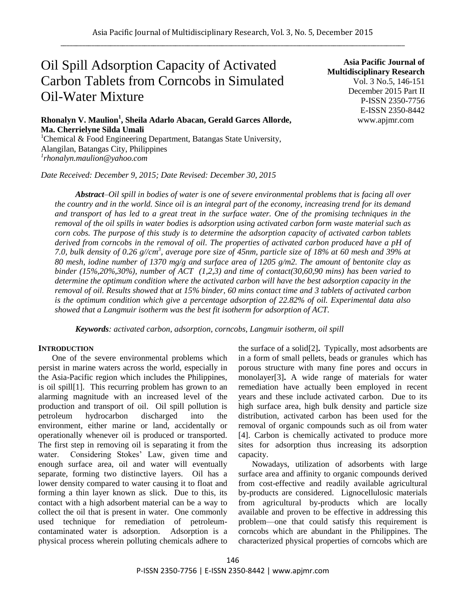# Oil Spill Adsorption Capacity of Activated Carbon Tablets from Corncobs in Simulated Oil-Water Mixture

**Asia Pacific Journal of Multidisciplinary Research** Vol. 3 No.5, 146-151 December 2015 Part II P-ISSN 2350-7756 E-ISSN 2350-8442 www.apjmr.com

# **Rhonalyn V. Maulion<sup>1</sup> , Sheila Adarlo Abacan, Gerald Garces Allorde, Ma. Cherrielyne Silda Umali**

<sup>1</sup>Chemical & Food Engineering Department, Batangas State University, Alangilan, Batangas City, Philippines *1 rhonalyn.maulion@yahoo.com*

*Date Received: December 9, 2015; Date Revised: December 30, 2015*

*Abstract*–*Oil spill in bodies of water is one of severe environmental problems that is facing all over the country and in the world. Since oil is an integral part of the economy, increasing trend for its demand and transport of has led to a great treat in the surface water. One of the promising techniques in the removal of the oil spills in water bodies is adsorption using activated carbon form waste material such as corn cobs. The purpose of this study is to determine the adsorption capacity of activated carbon tablets derived from corncobs in the removal of oil. The properties of activated carbon produced have a pH of*  7.0, bulk density of 0.26 g//cm<sup>3</sup>, average pore size of 45nm, particle size of 18% at 60 mesh and 39% at *80 mesh, iodine number of 1370 mg/g and surface area of 1205 g/m2. The amount of bentonite clay as binder (15%,20%,30%), number of ACT (1,2,3) and time of contact(30,60,90 mins) has been varied to determine the optimum condition where the activated carbon will have the best adsorption capacity in the removal of oil. Results showed that at 15% binder, 60 mins contact time and 3 tablets of activated carbon is the optimum condition which give a percentage adsorption of 22.82% of oil. Experimental data also showed that a Langmuir isotherm was the best fit isotherm for adsorption of ACT.*

*Keywords: activated carbon, adsorption, corncobs, Langmuir isotherm, oil spill*

## **INTRODUCTION**

One of the severe environmental problems which persist in marine waters across the world, especially in the Asia-Pacific region which includes the Philippines, is oil spill[1]. This recurring problem has grown to an alarming magnitude with an increased level of the production and transport of oil. Oil spill pollution is petroleum hydrocarbon discharged into the environment, either marine or land, accidentally or operationally whenever oil is produced or transported. The first step in removing oil is separating it from the water. Considering Stokes' Law, given time and enough surface area, oil and water will eventually separate, forming two distinctive layers. Oil has a lower density compared to water causing it to float and forming a thin layer known as slick. Due to this, its contact with a high adsorbent material can be a way to collect the oil that is present in water. One commonly used technique for remediation of petroleumcontaminated water is adsorption. Adsorption is a physical process wherein polluting chemicals adhere to

the surface of a solid[2]**.** Typically, most adsorbents are in a form of small pellets, beads or granules which has porous structure with many fine pores and occurs in monolayer[3]**.** A wide range of materials for water remediation have actually been employed in recent years and these include activated carbon. Due to its high surface area, high bulk density and particle size distribution, activated carbon has been used for the removal of organic compounds such as oil from water [4]. Carbon is chemically activated to produce more sites for adsorption thus increasing its adsorption capacity.

Nowadays, utilization of adsorbents with large surface area and affinity to organic compounds derived from cost-effective and readily available agricultural by-products are considered. Lignocellulosic materials from agricultural by-products which are locally available and proven to be effective in addressing this problem—one that could satisfy this requirement is corncobs which are abundant in the Philippines. The characterized physical properties of corncobs which are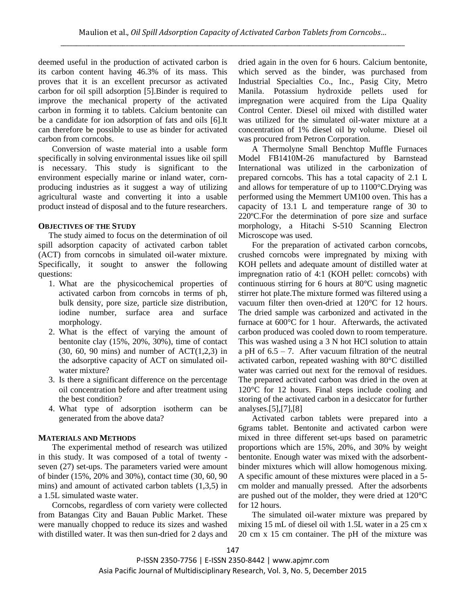deemed useful in the production of activated carbon is its carbon content having 46.3% of its mass. This proves that it is an excellent precursor as activated carbon for oil spill adsorption [5].Binder is required to improve the mechanical property of the activated carbon in forming it to tablets. Calcium bentonite can be a candidate for ion adsorption of fats and oils [6].It can therefore be possible to use as binder for activated carbon from corncobs.

Conversion of waste material into a usable form specifically in solving environmental issues like oil spill is necessary. This study is significant to the environment especially marine or inland water, cornproducing industries as it suggest a way of utilizing agricultural waste and converting it into a usable product instead of disposal and to the future researchers.

# **OBJECTIVES OF THE STUDY**

The study aimed to focus on the determination of oil spill adsorption capacity of activated carbon tablet (ACT) from corncobs in simulated oil-water mixture. Specifically, it sought to answer the following questions:

- 1. What are the physicochemical properties of activated carbon from corncobs in terms of ph, bulk density, pore size, particle size distribution, iodine number, surface area and surface morphology.
- 2. What is the effect of varying the amount of bentonite clay (15%, 20%, 30%), time of contact  $(30, 60, 90 \text{ mins})$  and number of ACT $(1,2,3)$  in the adsorptive capacity of ACT on simulated oilwater mixture?
- 3. Is there a significant difference on the percentage oil concentration before and after treatment using the best condition?
- 4. What type of adsorption isotherm can be generated from the above data?

# **MATERIALS AND METHODS**

The experimental method of research was utilized in this study. It was composed of a total of twenty seven (27) set-ups. The parameters varied were amount of binder (15%, 20% and 30%), contact time (30, 60, 90 mins) and amount of activated carbon tablets (1,3,5) in a 1.5L simulated waste water.

Corncobs, regardless of corn variety were collected from Batangas City and Bauan Public Market. These were manually chopped to reduce its sizes and washed with distilled water. It was then sun-dried for 2 days and dried again in the oven for 6 hours. Calcium bentonite, which served as the binder, was purchased from Industrial Specialties Co., Inc., Pasig City, Metro Manila. Potassium hydroxide pellets used for impregnation were acquired from the Lipa Quality Control Center. Diesel oil mixed with distilled water was utilized for the simulated oil-water mixture at a concentration of 1% diesel oil by volume. Diesel oil was procured from Petron Corporation.

A Thermolyne Small Benchtop Muffle Furnaces Model FB1410M-26 manufactured by Barnstead International was utilized in the carbonization of prepared corncobs. This has a total capacity of 2.1 L and allows for temperature of up to 1100°C.Drying was performed using the Memmert UM100 oven. This has a capacity of 13.1 L and temperature range of 30 to 220ºC.For the determination of pore size and surface morphology, a Hitachi S-510 Scanning Electron Microscope was used.

For the preparation of activated carbon corncobs, crushed corncobs were impregnated by mixing with KOH pellets and adequate amount of distilled water at impregnation ratio of 4:1 (KOH pellet: corncobs) with continuous stirring for 6 hours at 80°C using magnetic stirrer hot plate.The mixture formed was filtered using a vacuum filter then oven-dried at 120°C for 12 hours. The dried sample was carbonized and activated in the furnace at 600°C for 1 hour. Afterwards, the activated carbon produced was cooled down to room temperature. This was washed using a 3 N hot HCl solution to attain a pH of  $6.5 - 7$ . After vacuum filtration of the neutral activated carbon, repeated washing with 80°C distilled water was carried out next for the removal of residues. The prepared activated carbon was dried in the oven at 120°C for 12 hours. Final steps include cooling and storing of the activated carbon in a desiccator for further analyses.[5],[7],[8]

Activated carbon tablets were prepared into a 6grams tablet. Bentonite and activated carbon were mixed in three different set-ups based on parametric proportions which are 15%, 20%, and 30% by weight bentonite. Enough water was mixed with the adsorbentbinder mixtures which will allow homogenous mixing. A specific amount of these mixtures were placed in a 5 cm molder and manually pressed. After the adsorbents are pushed out of the molder, they were dried at 120°C for 12 hours.

The simulated oil-water mixture was prepared by mixing 15 mL of diesel oil with 1.5L water in a 25 cm x 20 cm x 15 cm container. The pH of the mixture was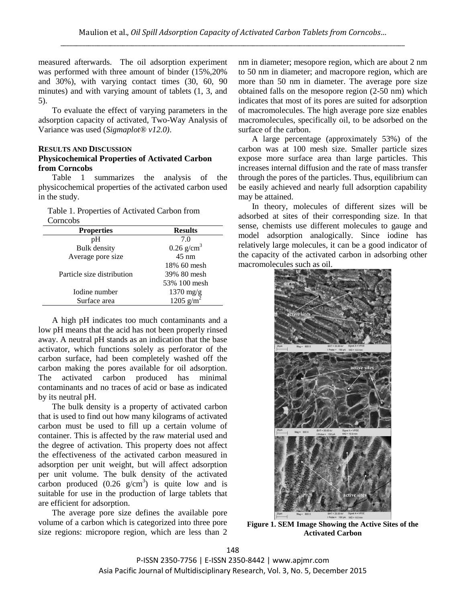measured afterwards. The oil adsorption experiment was performed with three amount of binder (15%,20% and 30%), with varying contact times (30, 60, 90 minutes) and with varying amount of tablets (1, 3, and 5).

To evaluate the effect of varying parameters in the adsorption capacity of activated, Two-Way Analysis of Variance was used (*Sigmaplot® v12.0)*.

## **RESULTS AND DISCUSSION Physicochemical Properties of Activated Carbon from Corncobs**

Table 1 summarizes the analysis of the physicochemical properties of the activated carbon used in the study.

Table 1. Properties of Activated Carbon from Corncobs

| <b>Properties</b>          | <b>Results</b>           |
|----------------------------|--------------------------|
| pH                         | 7.0                      |
| <b>Bulk</b> density        | $0.26$ g/cm <sup>3</sup> |
| Average pore size          | $45 \text{ nm}$          |
|                            | 18% 60 mesh              |
| Particle size distribution | 39% 80 mesh              |
|                            | 53% 100 mesh             |
| Iodine number              | $1370$ mg/g              |
| Surface area               | 1205 $g/m^2$             |

A high pH indicates too much contaminants and a low pH means that the acid has not been properly rinsed away. A neutral pH stands as an indication that the base activator, which functions solely as perforator of the carbon surface, had been completely washed off the carbon making the pores available for oil adsorption. The activated carbon produced has minimal contaminants and no traces of acid or base as indicated by its neutral pH.

The bulk density is a property of activated carbon that is used to find out how many kilograms of activated carbon must be used to fill up a certain volume of container. This is affected by the raw material used and the degree of activation. This property does not affect the effectiveness of the activated carbon measured in adsorption per unit weight, but will affect adsorption per unit volume. The bulk density of the activated carbon produced  $(0.26 \text{ g/cm}^3)$  is quite low and is suitable for use in the production of large tablets that are efficient for adsorption.

The average pore size defines the available pore volume of a carbon which is categorized into three pore size regions: micropore region, which are less than 2 nm in diameter; mesopore region, which are about 2 nm to 50 nm in diameter; and macropore region, which are more than 50 nm in diameter. The average pore size obtained falls on the mesopore region (2-50 nm) which indicates that most of its pores are suited for adsorption of macromolecules. The high average pore size enables macromolecules, specifically oil, to be adsorbed on the surface of the carbon.

A large percentage (approximately 53%) of the carbon was at 100 mesh size. Smaller particle sizes expose more surface area than large particles. This increases internal diffusion and the rate of mass transfer through the pores of the particles. Thus, equilibrium can be easily achieved and nearly full adsorption capability may be attained.

In theory, molecules of different sizes will be adsorbed at sites of their corresponding size. In that sense, chemists use different molecules to gauge and model adsorption analogically. Since iodine has relatively large molecules, it can be a good indicator of the capacity of the activated carbon in adsorbing other macromolecules such as oil.



**Figure 1. SEM Image Showing the Active Sites of the Activated Carbon**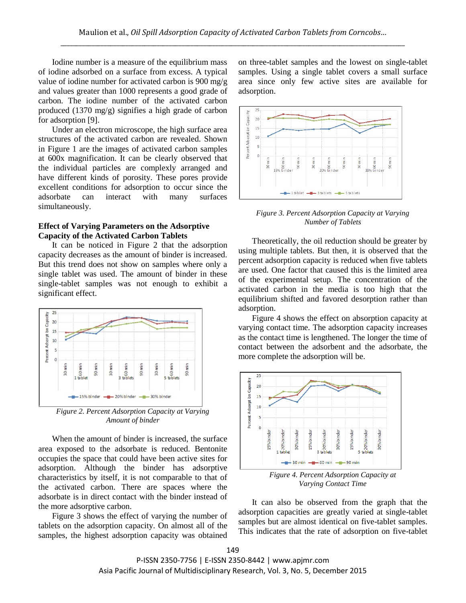Iodine number is a measure of the equilibrium mass of iodine adsorbed on a surface from excess. A typical value of iodine number for activated carbon is 900 mg/g and values greater than 1000 represents a good grade of carbon. The iodine number of the activated carbon produced (1370 mg/g) signifies a high grade of carbon for adsorption [9].

Under an electron microscope, the high surface area structures of the activated carbon are revealed. Shown in Figure 1 are the images of activated carbon samples at 600x magnification. It can be clearly observed that the individual particles are complexly arranged and have different kinds of porosity. These pores provide excellent conditions for adsorption to occur since the adsorbate can interact with many surfaces simultaneously.

## **Effect of Varying Parameters on the Adsorptive Capacity of the Activated Carbon Tablets**

It can be noticed in Figure 2 that the adsorption capacity decreases as the amount of binder is increased. But this trend does not show on samples where only a single tablet was used. The amount of binder in these single-tablet samples was not enough to exhibit a significant effect.



*Figure 2. Percent Adsorption Capacity at Varying Amount of binder*

When the amount of binder is increased, the surface area exposed to the adsorbate is reduced. Bentonite occupies the space that could have been active sites for adsorption. Although the binder has adsorptive characteristics by itself, it is not comparable to that of the activated carbon. There are spaces where the adsorbate is in direct contact with the binder instead of the more adsorptive carbon.

Figure 3 shows the effect of varying the number of tablets on the adsorption capacity. On almost all of the samples, the highest adsorption capacity was obtained on three-tablet samples and the lowest on single-tablet samples. Using a single tablet covers a small surface area since only few active sites are available for adsorption.



*Figure 3. Percent Adsorption Capacity at Varying Number of Tablets*

Theoretically, the oil reduction should be greater by using multiple tablets. But then, it is observed that the percent adsorption capacity is reduced when five tablets are used. One factor that caused this is the limited area of the experimental setup. The concentration of the activated carbon in the media is too high that the equilibrium shifted and favored desorption rather than adsorption.

Figure 4 shows the effect on absorption capacity at varying contact time. The adsorption capacity increases as the contact time is lengthened. The longer the time of contact between the adsorbent and the adsorbate, the more complete the adsorption will be.



*Figure 4. Percent Adsorption Capacity at Varying Contact Time*

It can also be observed from the graph that the adsorption capacities are greatly varied at single-tablet samples but are almost identical on five-tablet samples. This indicates that the rate of adsorption on five-tablet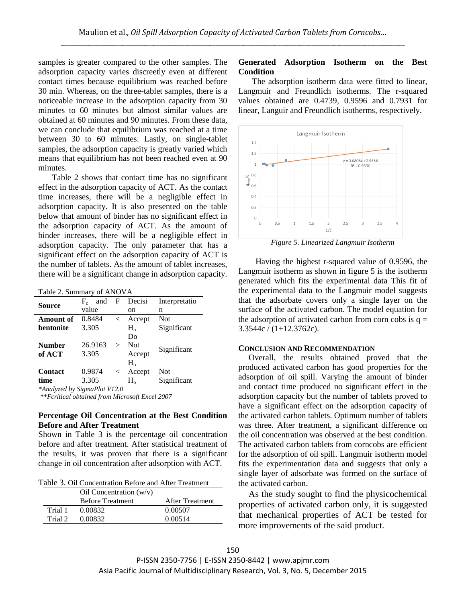samples is greater compared to the other samples. The adsorption capacity varies discreetly even at different contact times because equilibrium was reached before 30 min. Whereas, on the three-tablet samples, there is a noticeable increase in the adsorption capacity from 30 minutes to 60 minutes but almost similar values are obtained at 60 minutes and 90 minutes. From these data, we can conclude that equilibrium was reached at a time between 30 to 60 minutes. Lastly, on single-tablet samples, the adsorption capacity is greatly varied which means that equilibrium has not been reached even at 90 minutes.

Table 2 shows that contact time has no significant effect in the adsorption capacity of ACT. As the contact time increases, there will be a negligible effect in adsorption capacity. It is also presented on the table below that amount of binder has no significant effect in the adsorption capacity of ACT. As the amount of binder increases, there will be a negligible effect in adsorption capacity. The only parameter that has a significant effect on the adsorption capacity of ACT is the number of tablets. As the amount of tablet increases, there will be a significant change in adsorption capacity.

Table 2. Summary of ANOVA

| <b>Source</b>  | and<br>$F_c$ | F            | Decisi      | Interpretatio |
|----------------|--------------|--------------|-------------|---------------|
|                | value        |              | on          | n             |
| Amount of      | 0.8484       | $\lt$        | Accept      | <b>Not</b>    |
| bentonite      | 3.305        |              | $H_{o}$     | Significant   |
|                |              |              | Do          |               |
| <b>Number</b>  | 26.9163      | $\mathbf{I}$ | Not         | Significant   |
| of ACT         | 3.305        |              | Accept      |               |
|                |              |              | $H_{o}$     |               |
| <b>Contact</b> | 0.9874       | $\,<\,$      | Accept      | Not           |
| time           | 3.305        |              | $\rm H_{o}$ | Significant   |

*\*Analyzed by SigmaPlot V12.0*

*\*\*Fcritical obtained from Microsoft Excel 2007*

## **Percentage Oil Concentration at the Best Condition Before and After Treatment**

Shown in Table 3 is the percentage oil concentration before and after treatment. After statistical treatment of the results, it was proven that there is a significant change in oil concentration after adsorption with ACT.

Table 3. Oil Concentration Before and After Treatment

|                      | Oil Concentration $(w/v)$ |                 |
|----------------------|---------------------------|-----------------|
|                      | <b>Before Treatment</b>   | After Treatment |
| Trial 1              | 0.00832                   | 0.00507         |
| Trial 2 <sub>1</sub> | 0.00832                   | 0.00514         |

# **Generated Adsorption Isotherm on the Best Condition**

The adsorption isotherm data were fitted to linear, Langmuir and Freundlich isotherms. The r-squared values obtained are 0.4739, 0.9596 and 0.7931 for linear, Languir and Freundlich isotherms, respectively.



*Figure 5. Linearized Langmuir Isotherm*

Having the highest r-squared value of 0.9596, the Langmuir isotherm as shown in figure 5 is the isotherm generated which fits the experimental data This fit of the experimental data to the Langmuir model suggests that the adsorbate covers only a single layer on the surface of the activated carbon. The model equation for the adsorption of activated carbon from corn cobs is  $q =$ 3.3544c / (1+12.3762c).

#### **CONCLUSION AND RECOMMENDATION**

Overall, the results obtained proved that the produced activated carbon has good properties for the adsorption of oil spill. Varying the amount of binder and contact time produced no significant effect in the adsorption capacity but the number of tablets proved to have a significant effect on the adsorption capacity of the activated carbon tablets. Optimum number of tablets was three. After treatment, a significant difference on the oil concentration was observed at the best condition. The activated carbon tablets from corncobs are efficient for the adsorption of oil spill. Langmuir isotherm model fits the experimentation data and suggests that only a single layer of adsorbate was formed on the surface of the activated carbon.

As the study sought to find the physicochemical properties of activated carbon only, it is suggested that mechanical properties of ACT be tested for more improvements of the said product.

P-ISSN 2350-7756 | E-ISSN 2350-8442 | www.apjmr.com Asia Pacific Journal of Multidisciplinary Research, Vol. 3, No. 5, December 2015